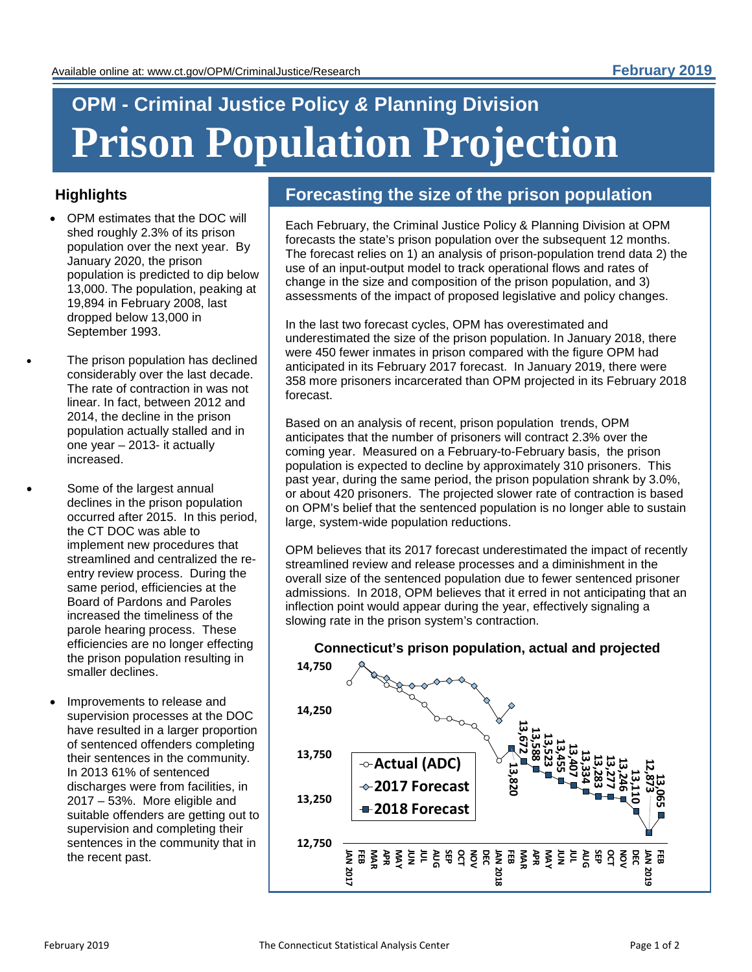# **OPM - Criminal Justice Policy** *&* **Planning Division Prison Population Projection**

### **Highlights**

- OPM estimates that the DOC will shed roughly 2.3% of its prison population over the next year. By January 2020, the prison population is predicted to dip below 13,000. The population, peaking at 19,894 in February 2008, last dropped below 13,000 in September 1993.
- The prison population has declined considerably over the last decade. The rate of contraction in was not linear. In fact, between 2012 and 2014, the decline in the prison population actually stalled and in one year – 2013- it actually increased.
- Some of the largest annual declines in the prison population occurred after 2015. In this period, the CT DOC was able to implement new procedures that streamlined and centralized the reentry review process. During the same period, efficiencies at the Board of Pardons and Paroles increased the timeliness of the parole hearing process. These efficiencies are no longer effecting the prison population resulting in smaller declines.
	- Improvements to release and supervision processes at the DOC have resulted in a larger proportion of sentenced offenders completing their sentences in the community. In 2013 61% of sentenced discharges were from facilities, in 2017 – 53%. More eligible and suitable offenders are getting out to supervision and completing their sentences in the community that in the recent past.

## **Forecasting the size of the prison population**

Each February, the Criminal Justice Policy & Planning Division at OPM forecasts the state's prison population over the subsequent 12 months. The forecast relies on 1) an analysis of prison-population trend data 2) the use of an input-output model to track operational flows and rates of change in the size and composition of the prison population, and 3) assessments of the impact of proposed legislative and policy changes.

In the last two forecast cycles, OPM has overestimated and underestimated the size of the prison population. In January 2018, there were 450 fewer inmates in prison compared with the figure OPM had anticipated in its February 2017 forecast. In January 2019, there were 358 more prisoners incarcerated than OPM projected in its February 2018 forecast.

Based on an analysis of recent, prison population trends, OPM anticipates that the number of prisoners will contract 2.3% over the coming year. Measured on a February-to-February basis, the prison population is expected to decline by approximately 310 prisoners. This past year, during the same period, the prison population shrank by 3.0%, or about 420 prisoners. The projected slower rate of contraction is based on OPM's belief that the sentenced population is no longer able to sustain large, system-wide population reductions.

OPM believes that its 2017 forecast underestimated the impact of recently streamlined review and release processes and a diminishment in the overall size of the sentenced population due to fewer sentenced prisoner admissions. In 2018, OPM believes that it erred in not anticipating that an inflection point would appear during the year, effectively signaling a slowing rate in the prison system's contraction.



# **Connecticut's prison population, actual and projected**